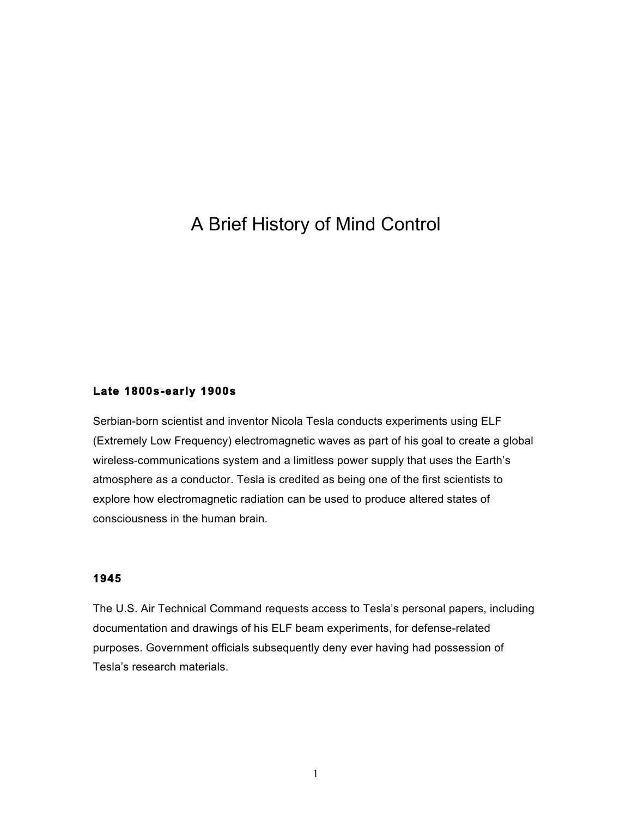# A Brief History of Mind Control

# **Late 1800s-early 1900s**

Serbian-born scientist and inventor Nicola Tesla conducts experiments using ELF (Extremely Low Frequency) electromagnetic waves as part of his goal to create a global wireless-communications system and a limitless power supply that uses the Earth's atmosphere as a conductor. Tesla is credited as being one of the first scientists to explore how electromagnetic radiation can be used to produce altered states of consciousness in the human brain.

# **1945**

The U.S. Air Technical Command requests access to Tesla's personal papers, including documentation and drawings of his ELF beam experiments, for defense-related purposes. Government officials subsequently deny ever having had possession of Tesla's research materials.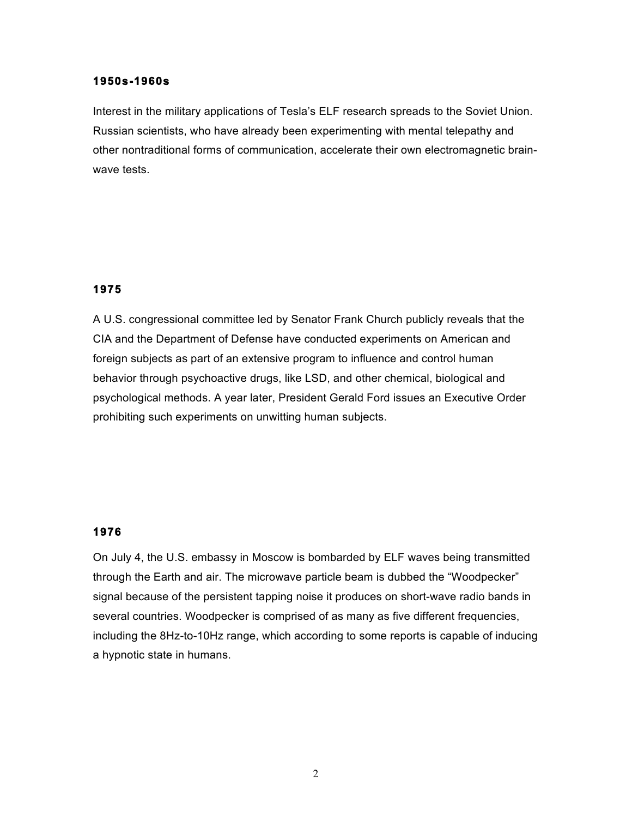#### **1950s-1960s**

Interest in the military applications of Tesla's ELF research spreads to the Soviet Union. Russian scientists, who have already been experimenting with mental telepathy and other nontraditional forms of communication, accelerate their own electromagnetic brainwave tests.

# **1975**

A U.S. congressional committee led by Senator Frank Church publicly reveals that the CIA and the Department of Defense have conducted experiments on American and foreign subjects as part of an extensive program to influence and control human behavior through psychoactive drugs, like LSD, and other chemical, biological and psychological methods. A year later, President Gerald Ford issues an Executive Order prohibiting such experiments on unwitting human subjects.

# **1976**

On July 4, the U.S. embassy in Moscow is bombarded by ELF waves being transmitted through the Earth and air. The microwave particle beam is dubbed the "Woodpecker" signal because of the persistent tapping noise it produces on short-wave radio bands in several countries. Woodpecker is comprised of as many as five different frequencies, including the 8Hz-to-10Hz range, which according to some reports is capable of inducing a hypnotic state in humans.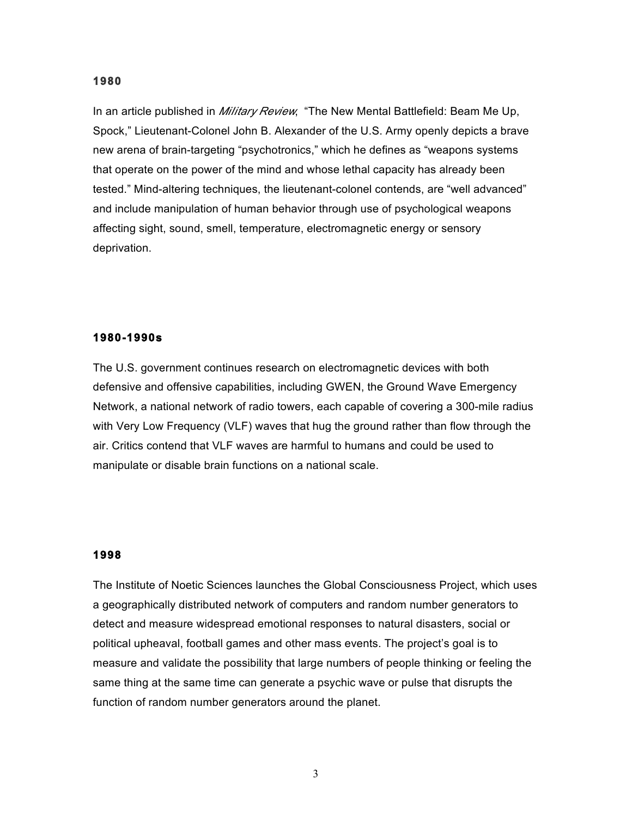#### **1980**

In an article published in *Military Review*, "The New Mental Battlefield: Beam Me Up, Spock," Lieutenant-Colonel John B. Alexander of the U.S. Army openly depicts a brave new arena of brain-targeting "psychotronics," which he defines as "weapons systems that operate on the power of the mind and whose lethal capacity has already been tested." Mind-altering techniques, the lieutenant-colonel contends, are "well advanced" and include manipulation of human behavior through use of psychological weapons affecting sight, sound, smell, temperature, electromagnetic energy or sensory deprivation.

#### **1980-1990s**

The U.S. government continues research on electromagnetic devices with both defensive and offensive capabilities, including GWEN, the Ground Wave Emergency Network, a national network of radio towers, each capable of covering a 300-mile radius with Very Low Frequency (VLF) waves that hug the ground rather than flow through the air. Critics contend that VLF waves are harmful to humans and could be used to manipulate or disable brain functions on a national scale.

#### **1998**

The Institute of Noetic Sciences launches the Global Consciousness Project, which uses a geographically distributed network of computers and random number generators to detect and measure widespread emotional responses to natural disasters, social or political upheaval, football games and other mass events. The project's goal is to measure and validate the possibility that large numbers of people thinking or feeling the same thing at the same time can generate a psychic wave or pulse that disrupts the function of random number generators around the planet.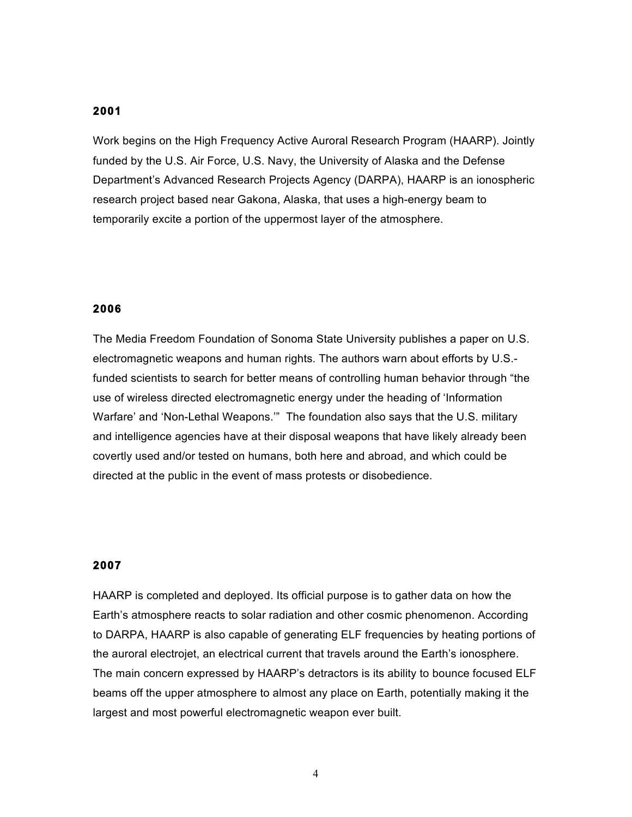#### **2001**

Work begins on the High Frequency Active Auroral Research Program (HAARP). Jointly funded by the U.S. Air Force, U.S. Navy, the University of Alaska and the Defense Department's Advanced Research Projects Agency (DARPA), HAARP is an ionospheric research project based near Gakona, Alaska, that uses a high-energy beam to temporarily excite a portion of the uppermost layer of the atmosphere.

#### **2006**

The Media Freedom Foundation of Sonoma State University publishes a paper on U.S. electromagnetic weapons and human rights. The authors warn about efforts by U.S. funded scientists to search for better means of controlling human behavior through "the use of wireless directed electromagnetic energy under the heading of 'Information Warfare' and 'Non-Lethal Weapons.'" The foundation also says that the U.S. military and intelligence agencies have at their disposal weapons that have likely already been covertly used and/or tested on humans, both here and abroad, and which could be directed at the public in the event of mass protests or disobedience.

## **2007**

HAARP is completed and deployed. Its official purpose is to gather data on how the Earth's atmosphere reacts to solar radiation and other cosmic phenomenon. According to DARPA, HAARP is also capable of generating ELF frequencies by heating portions of the auroral electrojet, an electrical current that travels around the Earth's ionosphere. The main concern expressed by HAARP's detractors is its ability to bounce focused ELF beams off the upper atmosphere to almost any place on Earth, potentially making it the largest and most powerful electromagnetic weapon ever built.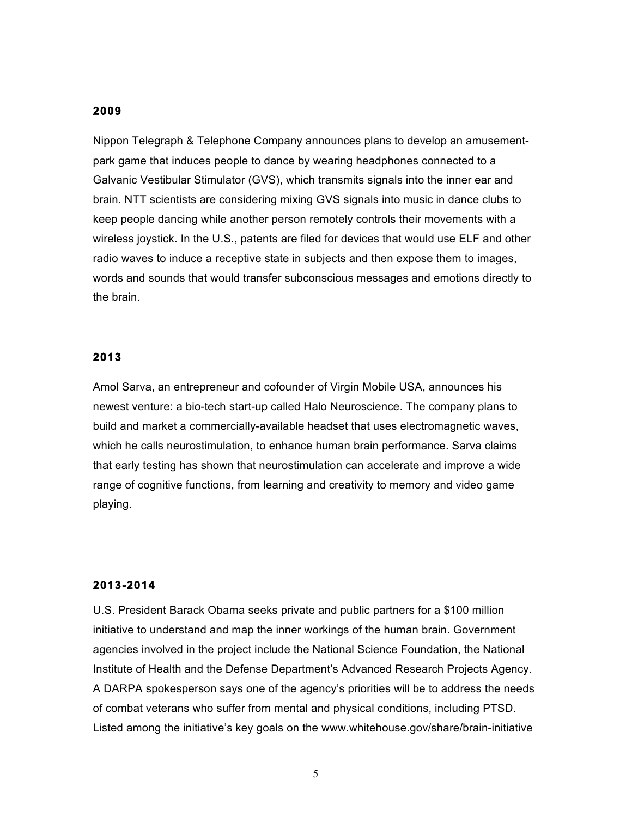#### **2009**

Nippon Telegraph & Telephone Company announces plans to develop an amusementpark game that induces people to dance by wearing headphones connected to a Galvanic Vestibular Stimulator (GVS), which transmits signals into the inner ear and brain. NTT scientists are considering mixing GVS signals into music in dance clubs to keep people dancing while another person remotely controls their movements with a wireless joystick. In the U.S., patents are filed for devices that would use ELF and other radio waves to induce a receptive state in subjects and then expose them to images, words and sounds that would transfer subconscious messages and emotions directly to the brain.

#### **2013**

Amol Sarva, an entrepreneur and cofounder of Virgin Mobile USA, announces his newest venture: a bio-tech start-up called Halo Neuroscience. The company plans to build and market a commercially-available headset that uses electromagnetic waves, which he calls neurostimulation, to enhance human brain performance. Sarva claims that early testing has shown that neurostimulation can accelerate and improve a wide range of cognitive functions, from learning and creativity to memory and video game playing.

#### **2013-2014**

U.S. President Barack Obama seeks private and public partners for a \$100 million initiative to understand and map the inner workings of the human brain. Government agencies involved in the project include the National Science Foundation, the National Institute of Health and the Defense Department's Advanced Research Projects Agency. A DARPA spokesperson says one of the agency's priorities will be to address the needs of combat veterans who suffer from mental and physical conditions, including PTSD. Listed among the initiative's key goals on the www.whitehouse.gov/share/brain-initiative